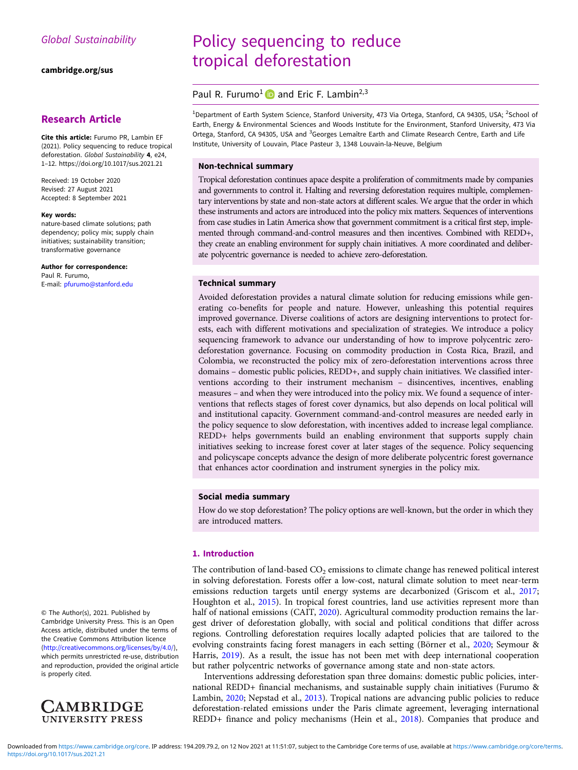[cambridge.org/sus](https://www.cambridge.org/sus)

# Research Article

Cite this article: Furumo PR, Lambin EF (2021). Policy sequencing to reduce tropical deforestation. Global Sustainability 4, e24, 1–12.<https://doi.org/10.1017/sus.2021.21>

Received: 19 October 2020 Revised: 27 August 2021 Accepted: 8 September 2021

#### Key words:

nature-based climate solutions; path dependency; policy mix; supply chain initiatives; sustainability transition; transformative governance

Author for correspondence: Paul R. Furumo, E-mail: [pfurumo@stanford.edu](mailto:pfurumo@stanford.edu) Policy sequencing to reduce tropical deforestation

# Paul R. Furumo<sup>1</sup> and Eric F. Lambin<sup>2,3</sup>

<sup>1</sup>Department of Earth System Science, Stanford University, 473 Via Ortega, Stanford, CA 94305, USA; <sup>2</sup>School of Earth, Energy & Environmental Sciences and Woods Institute for the Environment, Stanford University, 473 Via Ortega, Stanford, CA 94305, USA and <sup>3</sup>Georges Lemaître Earth and Climate Research Centre, Earth and Life Institute, University of Louvain, Place Pasteur 3, 1348 Louvain-la-Neuve, Belgium

# Non-technical summary

Tropical deforestation continues apace despite a proliferation of commitments made by companies and governments to control it. Halting and reversing deforestation requires multiple, complementary interventions by state and non-state actors at different scales. We argue that the order in which these instruments and actors are introduced into the policy mix matters. Sequences of interventions from case studies in Latin America show that government commitment is a critical first step, implemented through command-and-control measures and then incentives. Combined with REDD+, they create an enabling environment for supply chain initiatives. A more coordinated and deliberate polycentric governance is needed to achieve zero-deforestation.

# Technical summary

Avoided deforestation provides a natural climate solution for reducing emissions while generating co-benefits for people and nature. However, unleashing this potential requires improved governance. Diverse coalitions of actors are designing interventions to protect forests, each with different motivations and specialization of strategies. We introduce a policy sequencing framework to advance our understanding of how to improve polycentric zerodeforestation governance. Focusing on commodity production in Costa Rica, Brazil, and Colombia, we reconstructed the policy mix of zero-deforestation interventions across three domains – domestic public policies, REDD+, and supply chain initiatives. We classified interventions according to their instrument mechanism – disincentives, incentives, enabling measures – and when they were introduced into the policy mix. We found a sequence of interventions that reflects stages of forest cover dynamics, but also depends on local political will and institutional capacity. Government command-and-control measures are needed early in the policy sequence to slow deforestation, with incentives added to increase legal compliance. REDD+ helps governments build an enabling environment that supports supply chain initiatives seeking to increase forest cover at later stages of the sequence. Policy sequencing and policyscape concepts advance the design of more deliberate polycentric forest governance that enhances actor coordination and instrument synergies in the policy mix.

# Social media summary

How do we stop deforestation? The policy options are well-known, but the order in which they are introduced matters.

# 1. Introduction

The contribution of land-based  $CO<sub>2</sub>$  emissions to climate change has renewed political interest in solving deforestation. Forests offer a low-cost, natural climate solution to meet near-term emissions reduction targets until energy systems are decarbonized (Griscom et al., [2017](#page-9-0); Houghton et al., [2015](#page-10-0)). In tropical forest countries, land use activities represent more than half of national emissions (CAIT, [2020\)](#page-9-0). Agricultural commodity production remains the largest driver of deforestation globally, with social and political conditions that differ across regions. Controlling deforestation requires locally adapted policies that are tailored to the evolving constraints facing forest managers in each setting (Börner et al., [2020](#page-9-0); Seymour & Harris, [2019\)](#page-10-0). As a result, the issue has not been met with deep international cooperation but rather polycentric networks of governance among state and non-state actors.

Interventions addressing deforestation span three domains: domestic public policies, international REDD+ financial mechanisms, and sustainable supply chain initiatives (Furumo & Lambin, [2020](#page-9-0); Nepstad et al., [2013](#page-10-0)). Tropical nations are advancing public policies to reduce deforestation-related emissions under the Paris climate agreement, leveraging international REDD+ finance and policy mechanisms (Hein et al., [2018](#page-9-0)). Companies that produce and

© The Author(s), 2021. Published by Cambridge University Press. This is an Open Access article, distributed under the terms of the Creative Commons Attribution licence ([http://creativecommons.org/licenses/by/4.0/\)](http://creativecommons.org/licenses/by/4.0/), which permits unrestricted re-use, distribution and reproduction, provided the original article is properly cited.

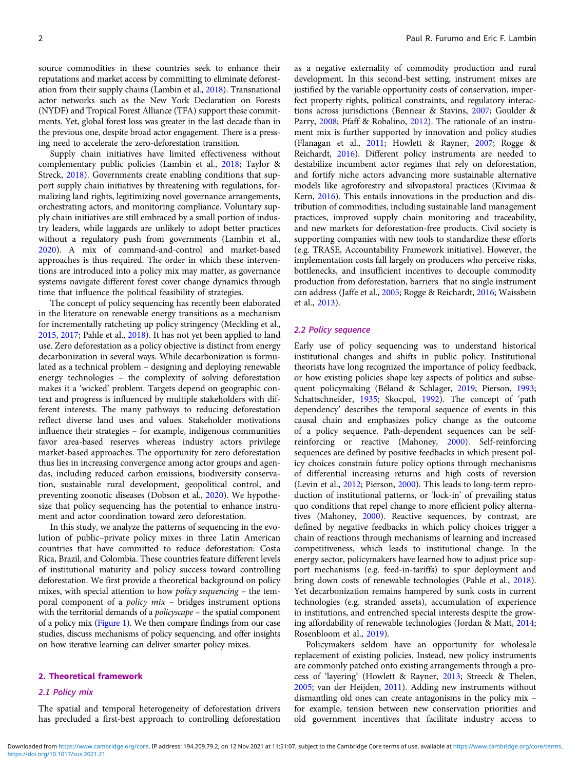source commodities in these countries seek to enhance their reputations and market access by committing to eliminate deforestation from their supply chains (Lambin et al., [2018\)](#page-10-0). Transnational actor networks such as the New York Declaration on Forests (NYDF) and Tropical Forest Alliance (TFA) support these commitments. Yet, global forest loss was greater in the last decade than in the previous one, despite broad actor engagement. There is a pressing need to accelerate the zero-deforestation transition.

Supply chain initiatives have limited effectiveness without complementary public policies (Lambin et al., [2018;](#page-10-0) Taylor & Streck, [2018\)](#page-10-0). Governments create enabling conditions that support supply chain initiatives by threatening with regulations, formalizing land rights, legitimizing novel governance arrangements, orchestrating actors, and monitoring compliance. Voluntary supply chain initiatives are still embraced by a small portion of industry leaders, while laggards are unlikely to adopt better practices without a regulatory push from governments (Lambin et al., [2020\)](#page-10-0). A mix of command-and-control and market-based approaches is thus required. The order in which these interventions are introduced into a policy mix may matter, as governance systems navigate different forest cover change dynamics through time that influence the political feasibility of strategies.

The concept of policy sequencing has recently been elaborated in the literature on renewable energy transitions as a mechanism for incrementally ratcheting up policy stringency (Meckling et al., [2015,](#page-10-0) [2017;](#page-10-0) Pahle et al., [2018](#page-10-0)). It has not yet been applied to land use. Zero deforestation as a policy objective is distinct from energy decarbonization in several ways. While decarbonization is formulated as a technical problem – designing and deploying renewable energy technologies – the complexity of solving deforestation makes it a 'wicked' problem. Targets depend on geographic context and progress is influenced by multiple stakeholders with different interests. The many pathways to reducing deforestation reflect diverse land uses and values. Stakeholder motivations influence their strategies – for example, indigenous communities favor area-based reserves whereas industry actors privilege market-based approaches. The opportunity for zero deforestation thus lies in increasing convergence among actor groups and agendas, including reduced carbon emissions, biodiversity conservation, sustainable rural development, geopolitical control, and preventing zoonotic diseases (Dobson et al., [2020](#page-9-0)). We hypothesize that policy sequencing has the potential to enhance instrument and actor coordination toward zero deforestation.

In this study, we analyze the patterns of sequencing in the evolution of public–private policy mixes in three Latin American countries that have committed to reduce deforestation: Costa Rica, Brazil, and Colombia. These countries feature different levels of institutional maturity and policy success toward controlling deforestation. We first provide a theoretical background on policy mixes, with special attention to how policy sequencing – the temporal component of a policy mix – bridges instrument options with the territorial demands of a *policyscape* – the spatial component of a policy mix ([Figure 1](#page-2-0)). We then compare findings from our case studies, discuss mechanisms of policy sequencing, and offer insights on how iterative learning can deliver smarter policy mixes.

### 2. Theoretical framework

# 2.1 Policy mix

The spatial and temporal heterogeneity of deforestation drivers has precluded a first-best approach to controlling deforestation as a negative externality of commodity production and rural development. In this second-best setting, instrument mixes are justified by the variable opportunity costs of conservation, imperfect property rights, political constraints, and regulatory interactions across jurisdictions (Bennear & Stavins, [2007;](#page-9-0) Goulder & Parry, [2008](#page-9-0); Pfaff & Robalino, [2012](#page-10-0)). The rationale of an instrument mix is further supported by innovation and policy studies (Flanagan et al., [2011](#page-9-0); Howlett & Rayner, [2007](#page-10-0); Rogge & Reichardt, [2016\)](#page-10-0). Different policy instruments are needed to destabilize incumbent actor regimes that rely on deforestation, and fortify niche actors advancing more sustainable alternative models like agroforestry and silvopastoral practices (Kivimaa & Kern, [2016\)](#page-10-0). This entails innovations in the production and distribution of commodities, including sustainable land management practices, improved supply chain monitoring and traceability, and new markets for deforestation-free products. Civil society is supporting companies with new tools to standardize these efforts (e.g. TRASE, Accountability Framework initiative). However, the implementation costs fall largely on producers who perceive risks, bottlenecks, and insufficient incentives to decouple commodity production from deforestation, barriers that no single instrument can address (Jaffe et al., [2005;](#page-10-0) Rogge & Reichardt, [2016;](#page-10-0) Waissbein et al., [2013](#page-11-0)).

### 2.2 Policy sequence

Early use of policy sequencing was to understand historical institutional changes and shifts in public policy. Institutional theorists have long recognized the importance of policy feedback, or how existing policies shape key aspects of politics and subsequent policymaking (Béland & Schlager, [2019;](#page-9-0) Pierson, [1993;](#page-10-0) Schattschneider, [1935](#page-10-0); Skocpol, [1992\)](#page-10-0). The concept of 'path dependency' describes the temporal sequence of events in this causal chain and emphasizes policy change as the outcome of a policy sequence. Path-dependent sequences can be selfreinforcing or reactive (Mahoney, [2000](#page-10-0)). Self-reinforcing sequences are defined by positive feedbacks in which present policy choices constrain future policy options through mechanisms of differential increasing returns and high costs of reversion (Levin et al., [2012;](#page-10-0) Pierson, [2000](#page-10-0)). This leads to long-term reproduction of institutional patterns, or 'lock-in' of prevailing status quo conditions that repel change to more efficient policy alternatives (Mahoney, [2000\)](#page-10-0). Reactive sequences, by contrast, are defined by negative feedbacks in which policy choices trigger a chain of reactions through mechanisms of learning and increased competitiveness, which leads to institutional change. In the energy sector, policymakers have learned how to adjust price support mechanisms (e.g. feed-in-tariffs) to spur deployment and bring down costs of renewable technologies (Pahle et al., [2018](#page-10-0)). Yet decarbonization remains hampered by sunk costs in current technologies (e.g. stranded assets), accumulation of experience in institutions, and entrenched special interests despite the growing affordability of renewable technologies (Jordan & Matt, [2014;](#page-10-0) Rosenbloom et al., [2019\)](#page-10-0).

Policymakers seldom have an opportunity for wholesale replacement of existing policies. Instead, new policy instruments are commonly patched onto existing arrangements through a process of 'layering' (Howlett & Rayner, [2013;](#page-10-0) Streeck & Thelen, [2005;](#page-10-0) van der Heijden, [2011](#page-11-0)). Adding new instruments without dismantling old ones can create antagonisms in the policy mix – for example, tension between new conservation priorities and old government incentives that facilitate industry access to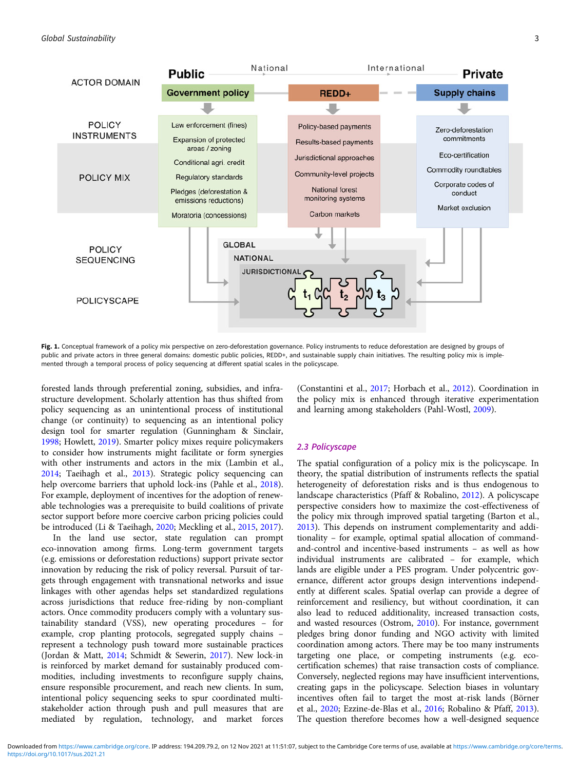<span id="page-2-0"></span>

Fig. 1. Conceptual framework of a policy mix perspective on zero-deforestation governance. Policy instruments to reduce deforestation are designed by groups of public and private actors in three general domains: domestic public policies, REDD+, and sustainable supply chain initiatives. The resulting policy mix is implemented through a temporal process of policy sequencing at different spatial scales in the policyscape.

forested lands through preferential zoning, subsidies, and infrastructure development. Scholarly attention has thus shifted from policy sequencing as an unintentional process of institutional change (or continuity) to sequencing as an intentional policy design tool for smarter regulation (Gunningham & Sinclair, [1998;](#page-9-0) Howlett, [2019\)](#page-10-0). Smarter policy mixes require policymakers to consider how instruments might facilitate or form synergies with other instruments and actors in the mix (Lambin et al., [2014;](#page-10-0) Taeihagh et al., [2013\)](#page-10-0). Strategic policy sequencing can help overcome barriers that uphold lock-ins (Pahle et al., [2018\)](#page-10-0). For example, deployment of incentives for the adoption of renewable technologies was a prerequisite to build coalitions of private sector support before more coercive carbon pricing policies could be introduced (Li & Taeihagh, [2020](#page-10-0); Meckling et al., [2015,](#page-10-0) [2017\)](#page-10-0).

In the land use sector, state regulation can prompt eco-innovation among firms. Long-term government targets (e.g. emissions or deforestation reductions) support private sector innovation by reducing the risk of policy reversal. Pursuit of targets through engagement with transnational networks and issue linkages with other agendas helps set standardized regulations across jurisdictions that reduce free-riding by non-compliant actors. Once commodity producers comply with a voluntary sustainability standard (VSS), new operating procedures – for example, crop planting protocols, segregated supply chains – represent a technology push toward more sustainable practices (Jordan & Matt, [2014;](#page-10-0) Schmidt & Sewerin, [2017\)](#page-10-0). New lock-in is reinforced by market demand for sustainably produced commodities, including investments to reconfigure supply chains, ensure responsible procurement, and reach new clients. In sum, intentional policy sequencing seeks to spur coordinated multistakeholder action through push and pull measures that are mediated by regulation, technology, and market forces

(Constantini et al., [2017;](#page-9-0) Horbach et al., [2012\)](#page-10-0). Coordination in the policy mix is enhanced through iterative experimentation and learning among stakeholders (Pahl-Wostl, [2009](#page-10-0)).

# 2.3 Policyscape

The spatial configuration of a policy mix is the policyscape. In theory, the spatial distribution of instruments reflects the spatial heterogeneity of deforestation risks and is thus endogenous to landscape characteristics (Pfaff & Robalino, [2012](#page-10-0)). A policyscape perspective considers how to maximize the cost-effectiveness of the policy mix through improved spatial targeting (Barton et al., [2013](#page-9-0)). This depends on instrument complementarity and additionality – for example, optimal spatial allocation of commandand-control and incentive-based instruments – as well as how individual instruments are calibrated – for example, which lands are eligible under a PES program. Under polycentric governance, different actor groups design interventions independently at different scales. Spatial overlap can provide a degree of reinforcement and resiliency, but without coordination, it can also lead to reduced additionality, increased transaction costs, and wasted resources (Ostrom, [2010\)](#page-10-0). For instance, government pledges bring donor funding and NGO activity with limited coordination among actors. There may be too many instruments targeting one place, or competing instruments (e.g. ecocertification schemes) that raise transaction costs of compliance. Conversely, neglected regions may have insufficient interventions, creating gaps in the policyscape. Selection biases in voluntary incentives often fail to target the most at-risk lands (Börner et al., [2020;](#page-9-0) Ezzine-de-Blas et al., [2016;](#page-9-0) Robalino & Pfaff, [2013](#page-10-0)). The question therefore becomes how a well-designed sequence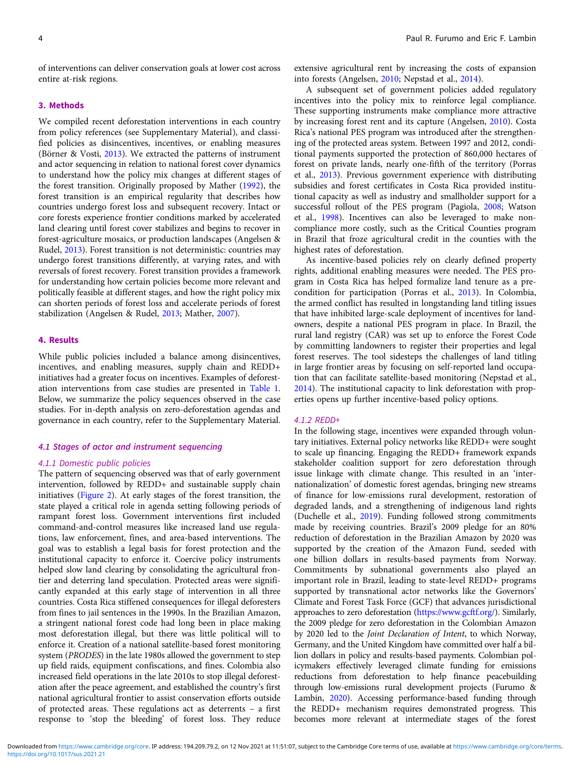of interventions can deliver conservation goals at lower cost across entire at-risk regions.

## 3. Methods

We compiled recent deforestation interventions in each country from policy references (see Supplementary Material), and classified policies as disincentives, incentives, or enabling measures (Börner & Vosti, [2013\)](#page-9-0). We extracted the patterns of instrument and actor sequencing in relation to national forest cover dynamics to understand how the policy mix changes at different stages of the forest transition. Originally proposed by Mather ([1992](#page-10-0)), the forest transition is an empirical regularity that describes how countries undergo forest loss and subsequent recovery. Intact or core forests experience frontier conditions marked by accelerated land clearing until forest cover stabilizes and begins to recover in forest-agriculture mosaics, or production landscapes (Angelsen & Rudel, [2013\)](#page-9-0). Forest transition is not deterministic: countries may undergo forest transitions differently, at varying rates, and with reversals of forest recovery. Forest transition provides a framework for understanding how certain policies become more relevant and politically feasible at different stages, and how the right policy mix can shorten periods of forest loss and accelerate periods of forest stabilization (Angelsen & Rudel, [2013](#page-9-0); Mather, [2007\)](#page-10-0).

# 4. Results

While public policies included a balance among disincentives, incentives, and enabling measures, supply chain and REDD+ initiatives had a greater focus on incentives. Examples of deforestation interventions from case studies are presented in [Table 1](#page-4-0). Below, we summarize the policy sequences observed in the case studies. For in-depth analysis on zero-deforestation agendas and governance in each country, refer to the Supplementary Material.

# 4.1 Stages of actor and instrument sequencing

### 4.1.1 Domestic public policies

The pattern of sequencing observed was that of early government intervention, followed by REDD+ and sustainable supply chain initiatives ([Figure 2\)](#page-5-0). At early stages of the forest transition, the state played a critical role in agenda setting following periods of rampant forest loss. Government interventions first included command-and-control measures like increased land use regulations, law enforcement, fines, and area-based interventions. The goal was to establish a legal basis for forest protection and the institutional capacity to enforce it. Coercive policy instruments helped slow land clearing by consolidating the agricultural frontier and deterring land speculation. Protected areas were significantly expanded at this early stage of intervention in all three countries. Costa Rica stiffened consequences for illegal deforesters from fines to jail sentences in the 1990s. In the Brazilian Amazon, a stringent national forest code had long been in place making most deforestation illegal, but there was little political will to enforce it. Creation of a national satellite-based forest monitoring system (PRODES) in the late 1980s allowed the government to step up field raids, equipment confiscations, and fines. Colombia also increased field operations in the late 2010s to stop illegal deforestation after the peace agreement, and established the country's first national agricultural frontier to assist conservation efforts outside of protected areas. These regulations act as deterrents – a first response to 'stop the bleeding' of forest loss. They reduce

extensive agricultural rent by increasing the costs of expansion into forests (Angelsen, [2010](#page-9-0); Nepstad et al., [2014\)](#page-10-0).

A subsequent set of government policies added regulatory incentives into the policy mix to reinforce legal compliance. These supporting instruments make compliance more attractive by increasing forest rent and its capture (Angelsen, [2010\)](#page-9-0). Costa Rica's national PES program was introduced after the strengthening of the protected areas system. Between 1997 and 2012, conditional payments supported the protection of 860,000 hectares of forest on private lands, nearly one-fifth of the territory (Porras et al., [2013](#page-10-0)). Previous government experience with distributing subsidies and forest certificates in Costa Rica provided institutional capacity as well as industry and smallholder support for a successful rollout of the PES program (Pagiola, [2008;](#page-10-0) Watson et al., [1998](#page-11-0)). Incentives can also be leveraged to make noncompliance more costly, such as the Critical Counties program in Brazil that froze agricultural credit in the counties with the highest rates of deforestation.

As incentive-based policies rely on clearly defined property rights, additional enabling measures were needed. The PES program in Costa Rica has helped formalize land tenure as a precondition for participation (Porras et al., [2013\)](#page-10-0). In Colombia, the armed conflict has resulted in longstanding land titling issues that have inhibited large-scale deployment of incentives for landowners, despite a national PES program in place. In Brazil, the rural land registry (CAR) was set up to enforce the Forest Code by committing landowners to register their properties and legal forest reserves. The tool sidesteps the challenges of land titling in large frontier areas by focusing on self-reported land occupation that can facilitate satellite-based monitoring (Nepstad et al., [2014\)](#page-10-0). The institutional capacity to link deforestation with properties opens up further incentive-based policy options.

#### 4.1.2 REDD+

In the following stage, incentives were expanded through voluntary initiatives. External policy networks like REDD+ were sought to scale up financing. Engaging the REDD+ framework expands stakeholder coalition support for zero deforestation through issue linkage with climate change. This resulted in an 'internationalization' of domestic forest agendas, bringing new streams of finance for low-emissions rural development, restoration of degraded lands, and a strengthening of indigenous land rights (Duchelle et al., [2019](#page-9-0)). Funding followed strong commitments made by receiving countries. Brazil's 2009 pledge for an 80% reduction of deforestation in the Brazilian Amazon by 2020 was supported by the creation of the Amazon Fund, seeded with one billion dollars in results-based payments from Norway. Commitments by subnational governments also played an important role in Brazil, leading to state-level REDD+ programs supported by transnational actor networks like the Governors' Climate and Forest Task Force (GCF) that advances jurisdictional approaches to zero deforestation ([https://www.gcftf.org/\)](https://www.gcftf.org/). Similarly, the 2009 pledge for zero deforestation in the Colombian Amazon by 2020 led to the Joint Declaration of Intent, to which Norway, Germany, and the United Kingdom have committed over half a billion dollars in policy and results-based payments. Colombian policymakers effectively leveraged climate funding for emissions reductions from deforestation to help finance peacebuilding through low-emissions rural development projects (Furumo & Lambin, [2020\)](#page-9-0). Accessing performance-based funding through the REDD+ mechanism requires demonstrated progress. This becomes more relevant at intermediate stages of the forest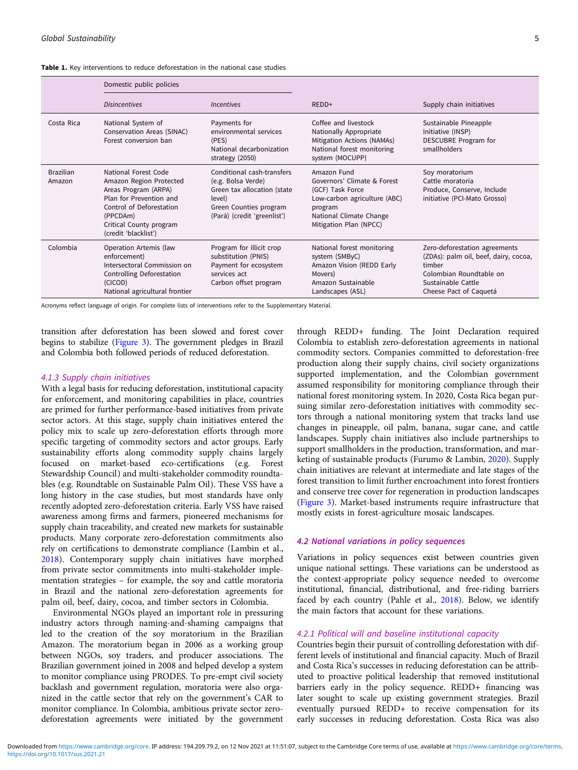<span id="page-4-0"></span>

|  |  |  |  |  | <b>Table 1.</b> Key interventions to reduce deforestation in the national case studies |
|--|--|--|--|--|----------------------------------------------------------------------------------------|
|--|--|--|--|--|----------------------------------------------------------------------------------------|

|                            | Domestic public policies                                                                                                                                                                      |                                                                                                                                                    |                                                                                                                                                                |                                                                                                                                                             |
|----------------------------|-----------------------------------------------------------------------------------------------------------------------------------------------------------------------------------------------|----------------------------------------------------------------------------------------------------------------------------------------------------|----------------------------------------------------------------------------------------------------------------------------------------------------------------|-------------------------------------------------------------------------------------------------------------------------------------------------------------|
|                            | <b>Disincentives</b>                                                                                                                                                                          | <i><u><b>Incentives</b></u></i>                                                                                                                    | $REDD+$                                                                                                                                                        | Supply chain initiatives                                                                                                                                    |
| Costa Rica                 | National System of<br>Conservation Areas (SINAC)<br>Forest conversion ban                                                                                                                     | Payments for<br>environmental services<br>(PES)<br>National decarbonization<br>strategy (2050)                                                     | Coffee and livestock<br>Nationally Appropriate<br>Mitigation Actions (NAMAs)<br>National forest monitoring<br>system (MOCUPP)                                  | Sustainable Pineapple<br>Initiative (INSP)<br>DESCUBRE Program for<br>smallholders                                                                          |
| <b>Brazilian</b><br>Amazon | National Forest Code<br>Amazon Region Protected<br>Areas Program (ARPA)<br>Plan for Prevention and<br>Control of Deforestation<br>(PPCDAm)<br>Critical County program<br>(credit 'blacklist') | Conditional cash-transfers<br>(e.g. Bolsa Verde)<br>Green tax allocation (state<br>level)<br>Green Counties program<br>(Pará) (credit 'greenlist') | Amazon Fund<br>Governors' Climate & Forest<br>(GCF) Task Force<br>Low-carbon agriculture (ABC)<br>program<br>National Climate Change<br>Mitigation Plan (NPCC) | Soy moratorium<br>Cattle moratoria<br>Produce, Conserve, Include<br>initiative (PCI-Mato Grosso)                                                            |
| Colombia                   | Operation Artemis (law<br>enforcement)<br>Intersectoral Commission on<br>Controlling Deforestation<br>(CICOD)<br>National agricultural frontier                                               | Program for illicit crop<br>substitution (PNIS)<br>Payment for ecosystem<br>services act<br>Carbon offset program                                  | National forest monitoring<br>system (SMByC)<br>Amazon Vision (REDD Early<br>Movers)<br>Amazon Sustainable<br>Landscapes (ASL)                                 | Zero-deforestation agreements<br>(ZDAs): palm oil, beef, dairy, cocoa,<br>timber<br>Colombian Roundtable on<br>Sustainable Cattle<br>Cheese Pact of Caquetá |

Acronyms reflect language of origin. For complete lists of interventions refer to the Supplementary Material.

transition after deforestation has been slowed and forest cover begins to stabilize ([Figure 3\)](#page-6-0). The government pledges in Brazil and Colombia both followed periods of reduced deforestation.

### 4.1.3 Supply chain initiatives

With a legal basis for reducing deforestation, institutional capacity for enforcement, and monitoring capabilities in place, countries are primed for further performance-based initiatives from private sector actors. At this stage, supply chain initiatives entered the policy mix to scale up zero-deforestation efforts through more specific targeting of commodity sectors and actor groups. Early sustainability efforts along commodity supply chains largely focused on market-based eco-certifications (e.g. Forest Stewardship Council) and multi-stakeholder commodity roundtables (e.g. Roundtable on Sustainable Palm Oil). These VSS have a long history in the case studies, but most standards have only recently adopted zero-deforestation criteria. Early VSS have raised awareness among firms and farmers, pioneered mechanisms for supply chain traceability, and created new markets for sustainable products. Many corporate zero-deforestation commitments also rely on certifications to demonstrate compliance (Lambin et al., [2018\)](#page-10-0). Contemporary supply chain initiatives have morphed from private sector commitments into multi-stakeholder implementation strategies – for example, the soy and cattle moratoria in Brazil and the national zero-deforestation agreements for palm oil, beef, dairy, cocoa, and timber sectors in Colombia.

Environmental NGOs played an important role in pressuring industry actors through naming-and-shaming campaigns that led to the creation of the soy moratorium in the Brazilian Amazon. The moratorium began in 2006 as a working group between NGOs, soy traders, and producer associations. The Brazilian government joined in 2008 and helped develop a system to monitor compliance using PRODES. To pre-empt civil society backlash and government regulation, moratoria were also organized in the cattle sector that rely on the government's CAR to monitor compliance. In Colombia, ambitious private sector zerodeforestation agreements were initiated by the government

through REDD+ funding. The Joint Declaration required Colombia to establish zero-deforestation agreements in national commodity sectors. Companies committed to deforestation-free production along their supply chains, civil society organizations supported implementation, and the Colombian government assumed responsibility for monitoring compliance through their national forest monitoring system. In 2020, Costa Rica began pursuing similar zero-deforestation initiatives with commodity sectors through a national monitoring system that tracks land use changes in pineapple, oil palm, banana, sugar cane, and cattle landscapes. Supply chain initiatives also include partnerships to support smallholders in the production, transformation, and marketing of sustainable products (Furumo & Lambin, [2020](#page-9-0)). Supply chain initiatives are relevant at intermediate and late stages of the forest transition to limit further encroachment into forest frontiers and conserve tree cover for regeneration in production landscapes [\(Figure 3\)](#page-6-0). Market-based instruments require infrastructure that mostly exists in forest-agriculture mosaic landscapes.

# 4.2 National variations in policy sequences

Variations in policy sequences exist between countries given unique national settings. These variations can be understood as the context-appropriate policy sequence needed to overcome institutional, financial, distributional, and free-riding barriers faced by each country (Pahle et al., [2018\)](#page-10-0). Below, we identify the main factors that account for these variations.

# 4.2.1 Political will and baseline institutional capacity

Countries begin their pursuit of controlling deforestation with different levels of institutional and financial capacity. Much of Brazil and Costa Rica's successes in reducing deforestation can be attributed to proactive political leadership that removed institutional barriers early in the policy sequence. REDD+ financing was later sought to scale up existing government strategies. Brazil eventually pursued REDD+ to receive compensation for its early successes in reducing deforestation. Costa Rica was also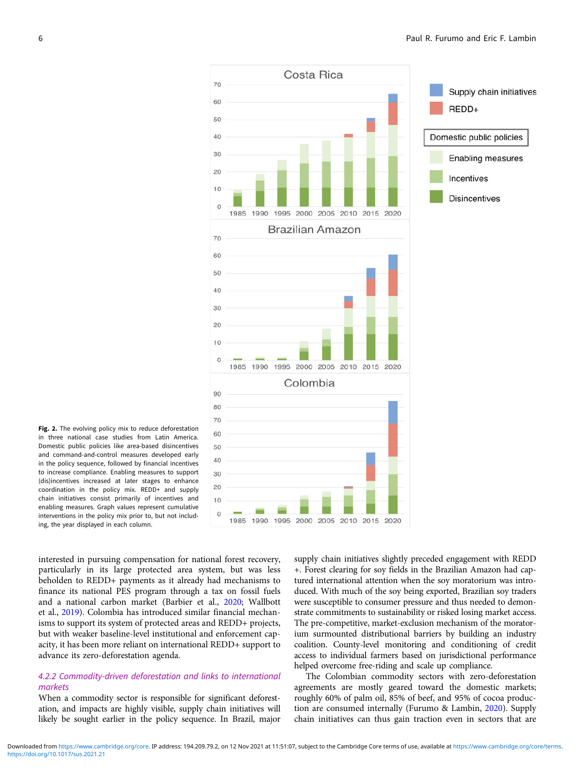<span id="page-5-0"></span>

Fig. 2. The evolving policy mix to reduce deforestation in three national case studies from Latin America. Domestic public policies like area-based disincentives and command-and-control measures developed early in the policy sequence, followed by financial incentives to increase compliance. Enabling measures to support (dis)incentives increased at later stages to enhance coordination in the policy mix. REDD+ and supply chain initiatives consist primarily of incentives and enabling measures. Graph values represent cumulative interventions in the policy mix prior to, but not including, the year displayed in each column.

interested in pursuing compensation for national forest recovery, particularly in its large protected area system, but was less beholden to REDD+ payments as it already had mechanisms to finance its national PES program through a tax on fossil fuels and a national carbon market (Barbier et al., [2020;](#page-9-0) Wallbott et al., [2019\)](#page-11-0). Colombia has introduced similar financial mechanisms to support its system of protected areas and REDD+ projects, but with weaker baseline-level institutional and enforcement capacity, it has been more reliant on international REDD+ support to advance its zero-deforestation agenda.

# 4.2.2 Commodity-driven deforestation and links to international markets

When a commodity sector is responsible for significant deforestation, and impacts are highly visible, supply chain initiatives will likely be sought earlier in the policy sequence. In Brazil, major

supply chain initiatives slightly preceded engagement with REDD +. Forest clearing for soy fields in the Brazilian Amazon had captured international attention when the soy moratorium was introduced. With much of the soy being exported, Brazilian soy traders were susceptible to consumer pressure and thus needed to demonstrate commitments to sustainability or risked losing market access. The pre-competitive, market-exclusion mechanism of the moratorium surmounted distributional barriers by building an industry coalition. County-level monitoring and conditioning of credit access to individual farmers based on jurisdictional performance helped overcome free-riding and scale up compliance.

The Colombian commodity sectors with zero-deforestation agreements are mostly geared toward the domestic markets; roughly 60% of palm oil, 85% of beef, and 95% of cocoa production are consumed internally (Furumo & Lambin, [2020](#page-9-0)). Supply chain initiatives can thus gain traction even in sectors that are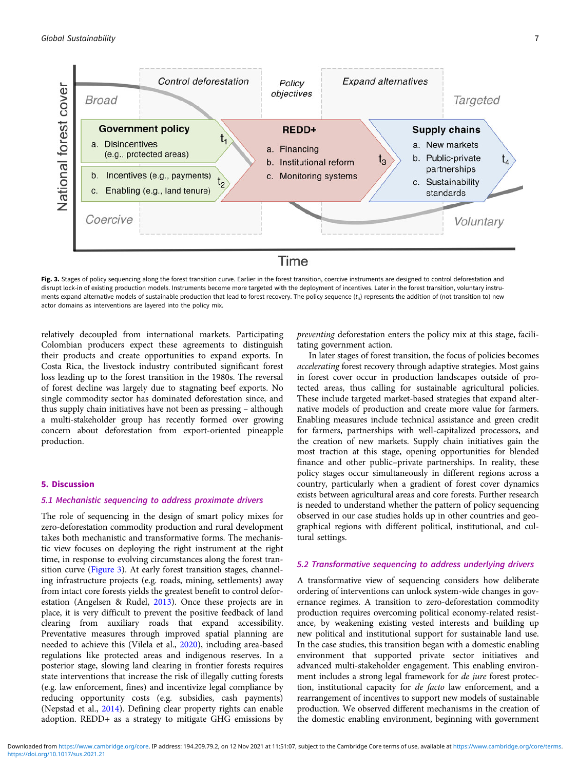<span id="page-6-0"></span>

Fig. 3. Stages of policy sequencing along the forest transition curve. Earlier in the forest transition, coercive instruments are designed to control deforestation and disrupt lock-in of existing production models. Instruments become more targeted with the deployment of incentives. Later in the forest transition, voluntary instruments expand alternative models of sustainable production that lead to forest recovery. The policy sequence  $(t_n)$  represents the addition of (not transition to) new actor domains as interventions are layered into the policy mix.

relatively decoupled from international markets. Participating Colombian producers expect these agreements to distinguish their products and create opportunities to expand exports. In Costa Rica, the livestock industry contributed significant forest loss leading up to the forest transition in the 1980s. The reversal of forest decline was largely due to stagnating beef exports. No single commodity sector has dominated deforestation since, and thus supply chain initiatives have not been as pressing – although a multi-stakeholder group has recently formed over growing concern about deforestation from export-oriented pineapple production.

# 5. Discussion

### 5.1 Mechanistic sequencing to address proximate drivers

The role of sequencing in the design of smart policy mixes for zero-deforestation commodity production and rural development takes both mechanistic and transformative forms. The mechanistic view focuses on deploying the right instrument at the right time, in response to evolving circumstances along the forest transition curve (Figure 3). At early forest transition stages, channeling infrastructure projects (e.g. roads, mining, settlements) away from intact core forests yields the greatest benefit to control deforestation (Angelsen & Rudel, [2013\)](#page-9-0). Once these projects are in place, it is very difficult to prevent the positive feedback of land clearing from auxiliary roads that expand accessibility. Preventative measures through improved spatial planning are needed to achieve this (Vilela et al., [2020\)](#page-11-0), including area-based regulations like protected areas and indigenous reserves. In a posterior stage, slowing land clearing in frontier forests requires state interventions that increase the risk of illegally cutting forests (e.g. law enforcement, fines) and incentivize legal compliance by reducing opportunity costs (e.g. subsidies, cash payments) (Nepstad et al., [2014\)](#page-10-0). Defining clear property rights can enable adoption. REDD+ as a strategy to mitigate GHG emissions by

preventing deforestation enters the policy mix at this stage, facilitating government action.

In later stages of forest transition, the focus of policies becomes accelerating forest recovery through adaptive strategies. Most gains in forest cover occur in production landscapes outside of protected areas, thus calling for sustainable agricultural policies. These include targeted market-based strategies that expand alternative models of production and create more value for farmers. Enabling measures include technical assistance and green credit for farmers, partnerships with well-capitalized processors, and the creation of new markets. Supply chain initiatives gain the most traction at this stage, opening opportunities for blended finance and other public–private partnerships. In reality, these policy stages occur simultaneously in different regions across a country, particularly when a gradient of forest cover dynamics exists between agricultural areas and core forests. Further research is needed to understand whether the pattern of policy sequencing observed in our case studies holds up in other countries and geographical regions with different political, institutional, and cultural settings.

# 5.2 Transformative sequencing to address underlying drivers

A transformative view of sequencing considers how deliberate ordering of interventions can unlock system-wide changes in governance regimes. A transition to zero-deforestation commodity production requires overcoming political economy-related resistance, by weakening existing vested interests and building up new political and institutional support for sustainable land use. In the case studies, this transition began with a domestic enabling environment that supported private sector initiatives and advanced multi-stakeholder engagement. This enabling environment includes a strong legal framework for de jure forest protection, institutional capacity for de facto law enforcement, and a rearrangement of incentives to support new models of sustainable production. We observed different mechanisms in the creation of the domestic enabling environment, beginning with government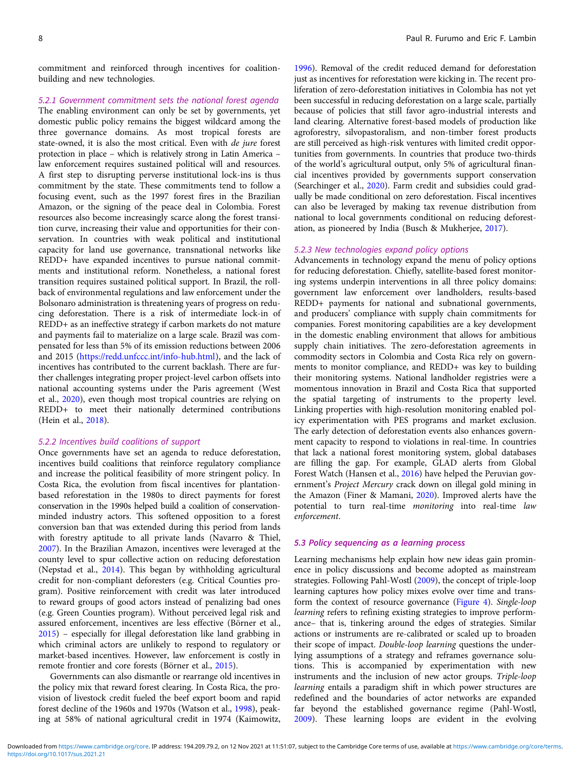commitment and reinforced through incentives for coalitionbuilding and new technologies.

### 5.2.1 Government commitment sets the national forest agenda

The enabling environment can only be set by governments, yet domestic public policy remains the biggest wildcard among the three governance domains. As most tropical forests are state-owned, it is also the most critical. Even with de jure forest protection in place – which is relatively strong in Latin America – law enforcement requires sustained political will and resources. A first step to disrupting perverse institutional lock-ins is thus commitment by the state. These commitments tend to follow a focusing event, such as the 1997 forest fires in the Brazilian Amazon, or the signing of the peace deal in Colombia. Forest resources also become increasingly scarce along the forest transition curve, increasing their value and opportunities for their conservation. In countries with weak political and institutional capacity for land use governance, transnational networks like REDD+ have expanded incentives to pursue national commitments and institutional reform. Nonetheless, a national forest transition requires sustained political support. In Brazil, the rollback of environmental regulations and law enforcement under the Bolsonaro administration is threatening years of progress on reducing deforestation. There is a risk of intermediate lock-in of REDD+ as an ineffective strategy if carbon markets do not mature and payments fail to materialize on a large scale. Brazil was compensated for less than 5% of its emission reductions between 2006 and 2015 [\(https://redd.unfccc.int/info-hub.html](https://redd.unfccc.int/info-hub.html)), and the lack of incentives has contributed to the current backlash. There are further challenges integrating proper project-level carbon offsets into national accounting systems under the Paris agreement (West et al., [2020](#page-11-0)), even though most tropical countries are relying on REDD+ to meet their nationally determined contributions (Hein et al., [2018](#page-9-0)).

### 5.2.2 Incentives build coalitions of support

Once governments have set an agenda to reduce deforestation, incentives build coalitions that reinforce regulatory compliance and increase the political feasibility of more stringent policy. In Costa Rica, the evolution from fiscal incentives for plantationbased reforestation in the 1980s to direct payments for forest conservation in the 1990s helped build a coalition of conservationminded industry actors. This softened opposition to a forest conversion ban that was extended during this period from lands with forestry aptitude to all private lands (Navarro & Thiel, [2007\)](#page-10-0). In the Brazilian Amazon, incentives were leveraged at the county level to spur collective action on reducing deforestation (Nepstad et al., [2014](#page-10-0)). This began by withholding agricultural credit for non-compliant deforesters (e.g. Critical Counties program). Positive reinforcement with credit was later introduced to reward groups of good actors instead of penalizing bad ones (e.g. Green Counties program). Without perceived legal risk and assured enforcement, incentives are less effective (Börner et al., [2015\)](#page-9-0) – especially for illegal deforestation like land grabbing in which criminal actors are unlikely to respond to regulatory or market-based incentives. However, law enforcement is costly in remote frontier and core forests (Börner et al., [2015\)](#page-9-0).

Governments can also dismantle or rearrange old incentives in the policy mix that reward forest clearing. In Costa Rica, the provision of livestock credit fueled the beef export boom and rapid forest decline of the 1960s and 1970s (Watson et al., [1998\)](#page-11-0), peaking at 58% of national agricultural credit in 1974 (Kaimowitz,

[1996\)](#page-10-0). Removal of the credit reduced demand for deforestation just as incentives for reforestation were kicking in. The recent proliferation of zero-deforestation initiatives in Colombia has not yet been successful in reducing deforestation on a large scale, partially because of policies that still favor agro-industrial interests and land clearing. Alternative forest-based models of production like agroforestry, silvopastoralism, and non-timber forest products are still perceived as high-risk ventures with limited credit opportunities from governments. In countries that produce two-thirds of the world's agricultural output, only 5% of agricultural financial incentives provided by governments support conservation (Searchinger et al., [2020](#page-10-0)). Farm credit and subsidies could gradually be made conditional on zero deforestation. Fiscal incentives can also be leveraged by making tax revenue distribution from national to local governments conditional on reducing deforestation, as pioneered by India (Busch & Mukherjee, [2017](#page-9-0)).

# 5.2.3 New technologies expand policy options

Advancements in technology expand the menu of policy options for reducing deforestation. Chiefly, satellite-based forest monitoring systems underpin interventions in all three policy domains: government law enforcement over landholders, results-based REDD+ payments for national and subnational governments, and producers' compliance with supply chain commitments for companies. Forest monitoring capabilities are a key development in the domestic enabling environment that allows for ambitious supply chain initiatives. The zero-deforestation agreements in commodity sectors in Colombia and Costa Rica rely on governments to monitor compliance, and REDD+ was key to building their monitoring systems. National landholder registries were a momentous innovation in Brazil and Costa Rica that supported the spatial targeting of instruments to the property level. Linking properties with high-resolution monitoring enabled policy experimentation with PES programs and market exclusion. The early detection of deforestation events also enhances government capacity to respond to violations in real-time. In countries that lack a national forest monitoring system, global databases are filling the gap. For example, GLAD alerts from Global Forest Watch (Hansen et al., [2016\)](#page-9-0) have helped the Peruvian government's Project Mercury crack down on illegal gold mining in the Amazon (Finer & Mamani, [2020](#page-9-0)). Improved alerts have the potential to turn real-time monitoring into real-time law enforcement.

### 5.3 Policy sequencing as a learning process

Learning mechanisms help explain how new ideas gain prominence in policy discussions and become adopted as mainstream strategies. Following Pahl-Wostl [\(2009](#page-10-0)), the concept of triple-loop learning captures how policy mixes evolve over time and transform the context of resource governance [\(Figure 4\)](#page-8-0). Single-loop learning refers to refining existing strategies to improve performance– that is, tinkering around the edges of strategies. Similar actions or instruments are re-calibrated or scaled up to broaden their scope of impact. Double-loop learning questions the underlying assumptions of a strategy and reframes governance solutions. This is accompanied by experimentation with new instruments and the inclusion of new actor groups. Triple-loop learning entails a paradigm shift in which power structures are redefined and the boundaries of actor networks are expanded far beyond the established governance regime (Pahl-Wostl, [2009\)](#page-10-0). These learning loops are evident in the evolving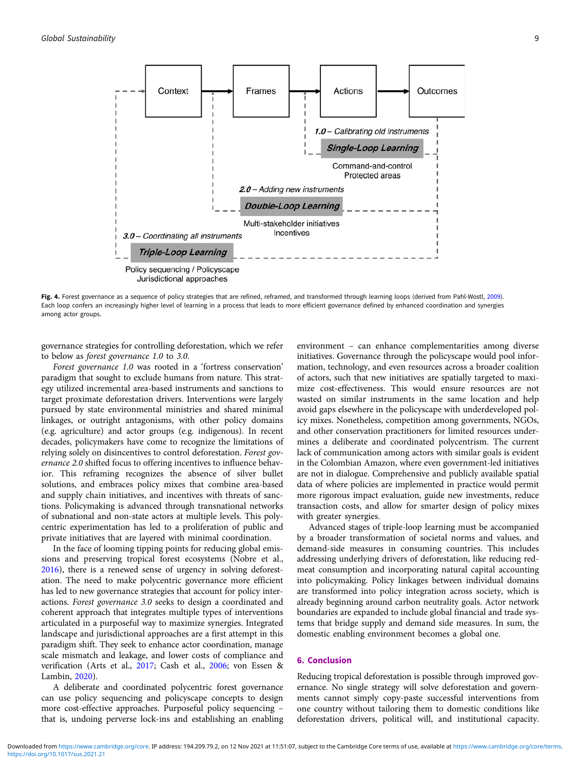<span id="page-8-0"></span>

Fig. 4. Forest governance as a sequence of policy strategies that are refined, reframed, and transformed through learning loops (derived from Pahl-Wostl, [2009\)](#page-10-0). Each loop confers an increasingly higher level of learning in a process that leads to more efficient governance defined by enhanced coordination and synergies among actor groups.

governance strategies for controlling deforestation, which we refer to below as forest governance 1.0 to 3.0.

Forest governance 1.0 was rooted in a 'fortress conservation' paradigm that sought to exclude humans from nature. This strategy utilized incremental area-based instruments and sanctions to target proximate deforestation drivers. Interventions were largely pursued by state environmental ministries and shared minimal linkages, or outright antagonisms, with other policy domains (e.g. agriculture) and actor groups (e.g. indigenous). In recent decades, policymakers have come to recognize the limitations of relying solely on disincentives to control deforestation. Forest governance 2.0 shifted focus to offering incentives to influence behavior. This reframing recognizes the absence of silver bullet solutions, and embraces policy mixes that combine area-based and supply chain initiatives, and incentives with threats of sanctions. Policymaking is advanced through transnational networks of subnational and non-state actors at multiple levels. This polycentric experimentation has led to a proliferation of public and private initiatives that are layered with minimal coordination.

In the face of looming tipping points for reducing global emissions and preserving tropical forest ecosystems (Nobre et al., [2016\)](#page-10-0), there is a renewed sense of urgency in solving deforestation. The need to make polycentric governance more efficient has led to new governance strategies that account for policy interactions. Forest governance 3.0 seeks to design a coordinated and coherent approach that integrates multiple types of interventions articulated in a purposeful way to maximize synergies. Integrated landscape and jurisdictional approaches are a first attempt in this paradigm shift. They seek to enhance actor coordination, manage scale mismatch and leakage, and lower costs of compliance and verification (Arts et al., [2017;](#page-9-0) Cash et al., [2006;](#page-9-0) von Essen & Lambin, [2020](#page-11-0)).

A deliberate and coordinated polycentric forest governance can use policy sequencing and policyscape concepts to design more cost-effective approaches. Purposeful policy sequencing – that is, undoing perverse lock-ins and establishing an enabling environment – can enhance complementarities among diverse initiatives. Governance through the policyscape would pool information, technology, and even resources across a broader coalition of actors, such that new initiatives are spatially targeted to maximize cost-effectiveness. This would ensure resources are not wasted on similar instruments in the same location and help avoid gaps elsewhere in the policyscape with underdeveloped policy mixes. Nonetheless, competition among governments, NGOs, and other conservation practitioners for limited resources undermines a deliberate and coordinated polycentrism. The current lack of communication among actors with similar goals is evident in the Colombian Amazon, where even government-led initiatives are not in dialogue. Comprehensive and publicly available spatial data of where policies are implemented in practice would permit more rigorous impact evaluation, guide new investments, reduce transaction costs, and allow for smarter design of policy mixes with greater synergies.

Advanced stages of triple-loop learning must be accompanied by a broader transformation of societal norms and values, and demand-side measures in consuming countries. This includes addressing underlying drivers of deforestation, like reducing redmeat consumption and incorporating natural capital accounting into policymaking. Policy linkages between individual domains are transformed into policy integration across society, which is already beginning around carbon neutrality goals. Actor network boundaries are expanded to include global financial and trade systems that bridge supply and demand side measures. In sum, the domestic enabling environment becomes a global one.

# 6. Conclusion

Reducing tropical deforestation is possible through improved governance. No single strategy will solve deforestation and governments cannot simply copy-paste successful interventions from one country without tailoring them to domestic conditions like deforestation drivers, political will, and institutional capacity.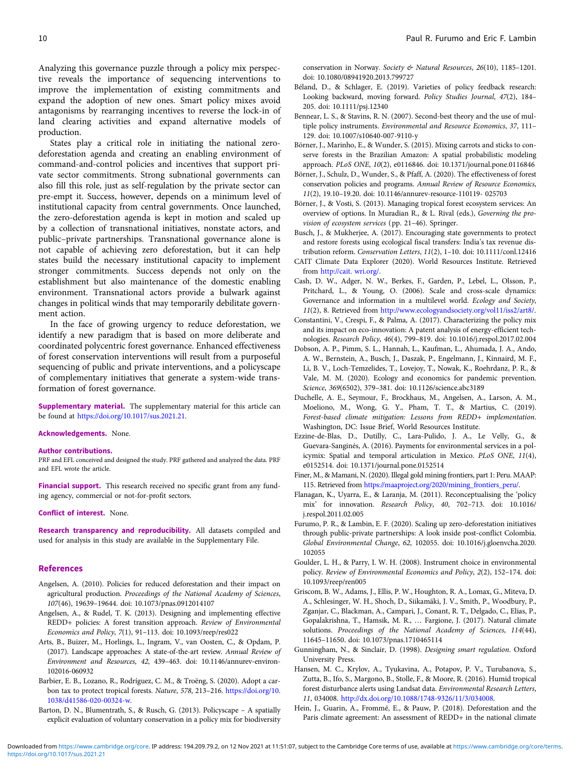<span id="page-9-0"></span>States play a critical role in initiating the national zerodeforestation agenda and creating an enabling environment of command-and-control policies and incentives that support private sector commitments. Strong subnational governments can also fill this role, just as self-regulation by the private sector can pre-empt it. Success, however, depends on a minimum level of institutional capacity from central governments. Once launched, the zero-deforestation agenda is kept in motion and scaled up by a collection of transnational initiatives, nonstate actors, and public–private partnerships. Transnational governance alone is not capable of achieving zero deforestation, but it can help states build the necessary institutional capacity to implement stronger commitments. Success depends not only on the establishment but also maintenance of the domestic enabling environment. Transnational actors provide a bulwark against changes in political winds that may temporarily debilitate government action.

In the face of growing urgency to reduce deforestation, we identify a new paradigm that is based on more deliberate and coordinated polycentric forest governance. Enhanced effectiveness of forest conservation interventions will result from a purposeful sequencing of public and private interventions, and a policyscape of complementary initiatives that generate a system-wide transformation of forest governance.

**Supplementary material.** The supplementary material for this article can be found at [https://doi.org/10.1017/sus.2021.21.](https://doi.org/10.1017/sus.2021.21)

Acknowledgements. None.

### Author contributions.

PRF and EFL conceived and designed the study. PRF gathered and analyzed the data. PRF and EFL wrote the article.

Financial support. This research received no specific grant from any funding agency, commercial or not-for-profit sectors.

### Conflict of interest. None.

Research transparency and reproducibility. All datasets compiled and used for analysis in this study are available in the Supplementary File.

### References

- Angelsen, A. (2010). Policies for reduced deforestation and their impact on agricultural production. Proceedings of the National Academy of Sciences, 107(46), 19639–19644. doi: 10.1073/pnas.0912014107
- Angelsen, A., & Rudel, T. K. (2013). Designing and implementing effective REDD+ policies: A forest transition approach. Review of Environmental Economics and Policy, 7(1), 91–113. doi: 10.1093/reep/res022
- Arts, B., Buizer, M., Horlings, L., Ingram, V., van Oosten, C., & Opdam, P. (2017). Landscape approaches: A state-of-the-art review. Annual Review of Environment and Resources, 42, 439–463. doi: 10.1146/annurev-environ-102016-060932
- Barbier, E. B., Lozano, R., Rodríguez, C. M., & Troëng, S. (2020). Adopt a carbon tax to protect tropical forests. Nature, 578, 213–216. [https://doi.org/10.](https://doi.org/10.1038/d41586-020-00324-w) [1038/d41586-020-00324-w](https://doi.org/10.1038/d41586-020-00324-w).
- Barton, D. N., Blumentrath, S., & Rusch, G. (2013). Policyscape A spatially explicit evaluation of voluntary conservation in a policy mix for biodiversity

conservation in Norway. Society & Natural Resources, 26(10), 1185–1201. doi: 10.1080/08941920.2013.799727

- Béland, D., & Schlager, E. (2019). Varieties of policy feedback research: Looking backward, moving forward. Policy Studies Journal, 47(2), 184– 205. doi: 10.1111/psj.12340
- Bennear, L. S., & Stavins, R. N. (2007). Second-best theory and the use of multiple policy instruments. Environmental and Resource Economics, 37, 111– 129. doi: 10.1007/s10640-007-9110-y
- Börner, J., Marinho, E., & Wunder, S. (2015). Mixing carrots and sticks to conserve forests in the Brazilian Amazon: A spatial probabilistic modeling approach. PLoS ONE, 10(2), e0116846. doi: 10.1371/journal.pone.0116846
- Börner, J., Schulz, D., Wunder, S., & Pfaff, A. (2020). The effectiveness of forest conservation policies and programs. Annual Review of Resource Economics, 11(2), 19.10–19.20. doi: 10.1146/annurev-resource-110119- 025703
- Börner, J., & Vosti, S. (2013). Managing tropical forest ecosystem services: An overview of options. In Muradian R., & L. Rival (eds.), Governing the provision of ecosystem services (pp. 21–46). Springer.
- Busch, J., & Mukherjee, A. (2017). Encouraging state governments to protect and restore forests using ecological fiscal transfers: India's tax revenue distribution reform. Conservation Letters, 11(2), 1–10. doi: 10.1111/conl.12416
- CAIT Climate Data Explorer (2020). World Resources Institute. Retrieved from [http://cait. wri.org/.](http://cait. wri.org/)
- Cash, D. W., Adger, N. W., Berkes, F., Garden, P., Lebel, L., Olsson, P., Pritchard, L., & Young, O. (2006). Scale and cross-scale dynamics: Governance and information in a multilevel world. Ecology and Society, 11(2), 8. Retrieved from [http://www.ecologyandsociety.org/vol11/iss2/art8/.](http://www.ecologyandsociety.org/vol11/iss2/art8/)
- Constantini, V., Crespi, F., & Palma, A. (2017). Characterizing the policy mix and its impact on eco-innovation: A patent analysis of energy-efficient technologies. Research Policy, 46(4), 799–819. doi: 10.1016/j.respol.2017.02.004
- Dobson, A. P., Pimm, S. L., Hannah, L., Kaufman, L., Ahumada, J. A., Ando, A. W., Bernstein, A., Busch, J., Daszak, P., Engelmann, J., Kinnaird, M. F., Li, B. V., Loch-Temzelides, T., Lovejoy, T., Nowak, K., Roehrdanz, P. R., & Vale, M. M. (2020). Ecology and economics for pandemic prevention. Science, 369(6502), 379–381. doi: 10.1126/science.abc3189
- Duchelle, A. E., Seymour, F., Brockhaus, M., Angelsen, A., Larson, A. M., Moeliono, M., Wong, G. Y., Pham, T. T., & Martius, C. (2019). Forest-based climate mitigation: Lessons from REDD+ implementation. Washington, DC: Issue Brief, World Resources Institute.
- Ezzine-de-Blas, D., Dutilly, C., Lara-Pulido, J. A., Le Velly, G., & Guevara-Sanginés, A. (2016). Payments for environmental services in a policymix: Spatial and temporal articulation in Mexico. PLoS ONE, 11(4), e0152514. doi: 10.1371/journal.pone.0152514
- Finer, M., & Mamani, N. (2020). Illegal gold mining frontiers, part 1: Peru. MAAP: 115. Retrieved from [https://maaproject.org/2020/mining\\_frontiers\\_peru/.](https://maaproject.org/2020/mining_frontiers_peru/)
- Flanagan, K., Uyarra, E., & Laranja, M. (2011). Reconceptualising the 'policy mix' for innovation. Research Policy, 40, 702–713. doi: 10.1016/ j.respol.2011.02.005
- Furumo, P. R., & Lambin, E. F. (2020). Scaling up zero-deforestation initiatives through public-private partnerships: A look inside post-conflict Colombia. Global Environmental Change, 62, 102055. doi: 10.1016/j.gloenvcha.2020. 102055
- Goulder, L. H., & Parry, I. W. H. (2008). Instrument choice in environmental policy. Review of Environmental Economics and Policy, 2(2), 152–174. doi: 10.1093/reep/ren005
- Griscom, B. W., Adams, J., Ellis, P. W., Houghton, R. A., Lomax, G., Miteva, D. A., Schlesinger, W. H., Shoch, D., Siikamäki, J. V., Smith, P., Woodbury, P., Zganjar, C., Blackman, A., Campari, J., Conant, R. T., Delgado, C., Elias, P., Gopalakrishna, T., Hamsik, M. R., … Fargione, J. (2017). Natural climate solutions. Proceedings of the National Academy of Sciences, 114(44), 11645–11650. doi: 10.1073/pnas.1710465114
- Gunningham, N., & Sinclair, D. (1998). Designing smart regulation. Oxford University Press.
- Hansen, M. C., Krylov, A., Tyukavina, A., Potapov, P. V., Turubanova, S., Zutta, B., Ifo, S., Margono, B., Stolle, F., & Moore, R. (2016). Humid tropical forest disturbance alerts using Landsat data. Environmental Research Letters, 11, 034008. <http://dx.doi.org/10.1088/1748-9326/11/3/034008>.
- Hein, J., Guarin, A., Frommé, E., & Pauw, P. (2018). Deforestation and the Paris climate agreement: An assessment of REDD+ in the national climate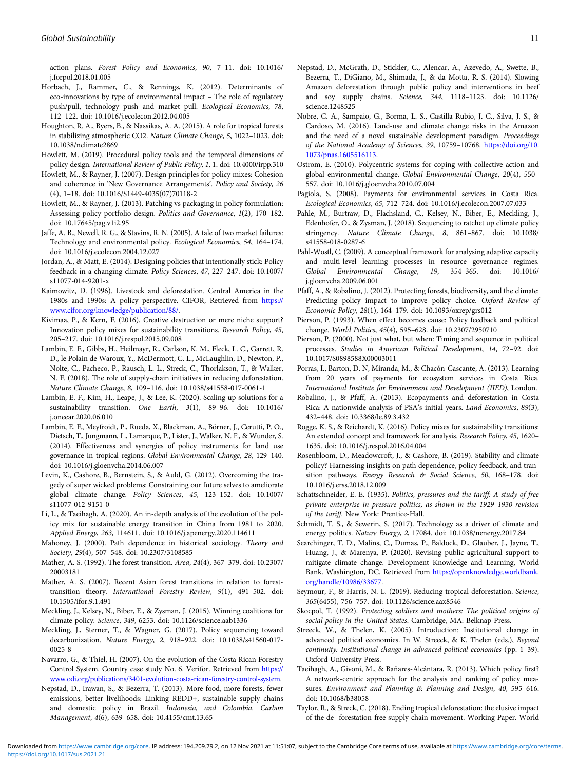<span id="page-10-0"></span>action plans. Forest Policy and Economics, 90, 7–11. doi: 10.1016/ j.forpol.2018.01.005

- Horbach, J., Rammer, C., & Rennings, K. (2012). Determinants of eco-innovations by type of environmental impact – The role of regulatory push/pull, technology push and market pull. Ecological Economics, 78, 112–122. doi: 10.1016/j.ecolecon.2012.04.005
- Houghton, R. A., Byers, B., & Nassikas, A. A. (2015). A role for tropical forests in stabilizing atmospheric CO2. Nature Climate Change, 5, 1022–1023. doi: 10.1038/nclimate2869
- Howlett, M. (2019). Procedural policy tools and the temporal dimensions of policy design. International Review of Public Policy, 1, 1. doi: 10.4000/irpp.310
- Howlett, M., & Rayner, J. (2007). Design principles for policy mixes: Cohesion and coherence in 'New Governance Arrangements'. Policy and Society, 26 (4), 1–18. doi: 10.1016/S1449-4035(07)70118-2
- Howlett, M., & Rayner, J. (2013). Patching vs packaging in policy formulation: Assessing policy portfolio design. Politics and Governance, 1(2), 170–182. doi: 10.17645/pag.v1i2.95
- Jaffe, A. B., Newell, R. G., & Stavins, R. N. (2005). A tale of two market failures: Technology and environmental policy. Ecological Economics, 54, 164–174. doi: 10.1016/j.ecolecon.2004.12.027
- Jordan, A., & Matt, E. (2014). Designing policies that intentionally stick: Policy feedback in a changing climate. Policy Sciences, 47, 227–247. doi: 10.1007/ s11077-014-9201-x
- Kaimowitz, D. (1996). Livestock and deforestation. Central America in the 1980s and 1990s: A policy perspective. CIFOR, Retrieved from [https://](https://www.cifor.org/knowledge/publication/88/) [www.cifor.org/knowledge/publication/88/.](https://www.cifor.org/knowledge/publication/88/)
- Kivimaa, P., & Kern, F. (2016). Creative destruction or mere niche support? Innovation policy mixes for sustainability transitions. Research Policy, 45, 205–217. doi: 10.1016/j.respol.2015.09.008
- Lambin, E. F., Gibbs, H., Heilmayr, R., Carlson, K. M., Fleck, L. C., Garrett, R. D., le Polain de Waroux, Y., McDermott, C. L., McLaughlin, D., Newton, P., Nolte, C., Pacheco, P., Rausch, L. L., Streck, C., Thorlakson, T., & Walker, N. F. (2018). The role of supply-chain initiatives in reducing deforestation. Nature Climate Change, 8, 109–116. doi: 10.1038/s41558-017-0061-1
- Lambin, E. F., Kim, H., Leape, J., & Lee, K. (2020). Scaling up solutions for a sustainability transition. One Earth, 3(1), 89–96. doi: 10.1016/ j.oneear.2020.06.010
- Lambin, E. F., Meyfroidt, P., Rueda, X., Blackman, A., Börner, J., Cerutti, P. O., Dietsch, T., Jungmann, L., Lamarque, P., Lister, J., Walker, N. F., & Wunder, S. (2014). Effectiveness and synergies of policy instruments for land use governance in tropical regions. Global Environmental Change, 28, 129–140. doi: 10.1016/j.gloenvcha.2014.06.007
- Levin, K., Cashore, B., Bernstein, S., & Auld, G. (2012). Overcoming the tragedy of super wicked problems: Constraining our future selves to ameliorate global climate change. Policy Sciences, 45, 123–152. doi: 10.1007/ s11077-012-9151-0
- Li, L., & Taeihagh, A. (2020). An in-depth analysis of the evolution of the policy mix for sustainable energy transition in China from 1981 to 2020. Applied Energy, 263, 114611. doi: 10.1016/j.apenergy.2020.114611
- Mahoney, J. (2000). Path dependence in historical sociology. Theory and Society, 29(4), 507–548. doi: 10.2307/3108585
- Mather, A. S. (1992). The forest transition. Area, 24(4), 367–379. doi: 10.2307/ 20003181
- Mather, A. S. (2007). Recent Asian forest transitions in relation to foresttransition theory. International Forestry Review, 9(1), 491–502. doi: 10.1505/ifor.9.1.491
- Meckling, J., Kelsey, N., Biber, E., & Zysman, J. (2015). Winning coalitions for climate policy. Science, 349, 6253. doi: 10.1126/science.aab1336
- Meckling, J., Sterner, T., & Wagner, G. (2017). Policy sequencing toward decarbonization. Nature Energy, 2, 918–922. doi: 10.1038/s41560-017- 0025-8
- Navarro, G., & Thiel, H. (2007). On the evolution of the Costa Rican Forestry Control System. Country case study No. 6. Verifor. Retrieved from [https://](https://www.odi.org/publications/3401-evolution-costa-rican-forestry-control-system) [www.odi.org/publications/3401-evolution-costa-rican-forestry-control-system.](https://www.odi.org/publications/3401-evolution-costa-rican-forestry-control-system)
- Nepstad, D., Irawan, S., & Bezerra, T. (2013). More food, more forests, fewer emissions, better livelihoods: Linking REDD+, sustainable supply chains and domestic policy in Brazil. Indonesia, and Colombia. Carbon Management, 4(6), 639–658. doi: 10.4155/cmt.13.65
- Nepstad, D., McGrath, D., Stickler, C., Alencar, A., Azevedo, A., Swette, B., Bezerra, T., DiGiano, M., Shimada, J., & da Motta, R. S. (2014). Slowing Amazon deforestation through public policy and interventions in beef and soy supply chains. Science, 344, 1118–1123. doi: 10.1126/ science.1248525
- Nobre, C. A., Sampaio, G., Borma, L. S., Castilla-Rubio, J. C., Silva, J. S., & Cardoso, M. (2016). Land-use and climate change risks in the Amazon and the need of a novel sustainable development paradigm. Proceedings of the National Academy of Sciences, 39, 10759–10768. [https://doi.org/10.](https://doi.org/10.1073/pnas.1605516113) [1073/pnas.1605516113.](https://doi.org/10.1073/pnas.1605516113)
- Ostrom, E. (2010). Polycentric systems for coping with collective action and global environmental change. Global Environmental Change, 20(4), 550– 557. doi: 10.1016/j.gloenvcha.2010.07.004
- Pagiola, S. (2008). Payments for environmental services in Costa Rica. Ecological Economics, 65, 712–724. doi: 10.1016/j.ecolecon.2007.07.033
- Pahle, M., Burtraw, D., Flachsland, C., Kelsey, N., Biber, E., Meckling, J., Edenhofer, O., & Zysman, J. (2018). Sequencing to ratchet up climate policy stringency. Nature Climate Change, 8, 861–867. doi: 10.1038/ s41558-018-0287-6
- Pahl-Wostl, C. (2009). A conceptual framework for analysing adaptive capacity and multi-level learning processes in resource governance regimes. Global Environmental Change, 19, 354–365. doi: 10.1016/ j.gloenvcha.2009.06.001
- Pfaff, A., & Robalino, J. (2012). Protecting forests, biodiversity, and the climate: Predicting policy impact to improve policy choice. Oxford Review of Economic Policy, 28(1), 164–179. doi: 10.1093/oxrep/grs012
- Pierson, P. (1993). When effect becomes cause: Policy feedback and political change. World Politics, 45(4), 595–628. doi: 10.2307/2950710
- Pierson, P. (2000). Not just what, but when: Timing and sequence in political processes. Studies in American Political Development, 14, 72–92. doi: 10.1017/S0898588X00003011
- Porras, I., Barton, D. N, Miranda, M., & Chacón-Cascante, A. (2013). Learning from 20 years of payments for ecosystem services in Costa Rica. International Institute for Environment and Development (IIED), London.
- Robalino, J., & Pfaff, A. (2013). Ecopayments and deforestation in Costa Rica: A nationwide analysis of PSA's initial years. Land Economics, 89(3), 432–448. doi: 10.3368/le.89.3.432
- Rogge, K. S., & Reichardt, K. (2016). Policy mixes for sustainability transitions: An extended concept and framework for analysis. Research Policy, 45, 1620– 1635. doi: 10.1016/j.respol.2016.04.004
- Rosenbloom, D., Meadowcroft, J., & Cashore, B. (2019). Stability and climate policy? Harnessing insights on path dependence, policy feedback, and transition pathways. Energy Research & Social Science, 50, 168-178. doi: 10.1016/j.erss.2018.12.009
- Schattschneider, E. E. (1935). Politics, pressures and the tariff: A study of free private enterprise in pressure politics, as shown in the 1929–1930 revision of the tariff. New York: Prentice-Hall.
- Schmidt, T. S., & Sewerin, S. (2017). Technology as a driver of climate and energy politics. Nature Energy, 2, 17084. doi: 10.1038/nenergy.2017.84
- Searchinger, T. D., Malins, C., Dumas, P., Baldock, D., Glauber, J., Jayne, T., Huang, J., & Marenya, P. (2020). Revising public agricultural support to mitigate climate change. Development Knowledge and Learning, World Bank. Washington, DC. Retrieved from [https://openknowledge.worldbank.](https://openknowledge.worldbank.org/handle/10986/33677) [org/handle/10986/33677](https://openknowledge.worldbank.org/handle/10986/33677).
- Seymour, F., & Harris, N. L. (2019). Reducing tropical deforestation. Science, 365(6455), 756–757. doi: 10.1126/science.aax8546
- Skocpol, T. (1992). Protecting soldiers and mothers: The political origins of social policy in the United States. Cambridge, MA: Belknap Press.
- Streeck, W., & Thelen, K. (2005). Introduction: Institutional change in advanced political economies. In W. Streeck, & K. Thelen (eds.), Beyond continuity: Institutional change in advanced political economies (pp. 1–39). Oxford University Press.
- Taeihagh, A., Givoni, M., & Bañares-Alcántara, R. (2013). Which policy first? A network-centric approach for the analysis and ranking of policy measures. Environment and Planning B: Planning and Design, 40, 595–616. doi: 10.1068/b38058
- Taylor, R., & Streck, C. (2018). Ending tropical deforestation: the elusive impact of the de- forestation-free supply chain movement. Working Paper. World